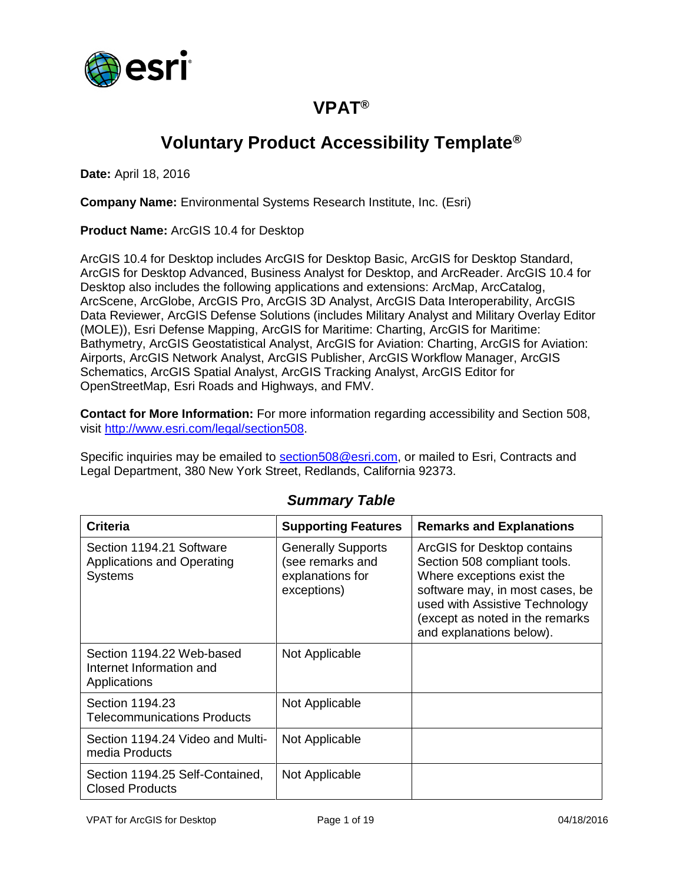

## **VPAT®**

# **Voluntary Product Accessibility Template®**

**Date:** April 18, 2016

**Company Name:** Environmental Systems Research Institute, Inc. (Esri)

**Product Name:** ArcGIS 10.4 for Desktop

ArcGIS 10.4 for Desktop includes ArcGIS for Desktop Basic, ArcGIS for Desktop Standard, ArcGIS for Desktop Advanced, Business Analyst for Desktop, and ArcReader. ArcGIS 10.4 for Desktop also includes the following applications and extensions: ArcMap, ArcCatalog, ArcScene, ArcGlobe, ArcGIS Pro, ArcGIS 3D Analyst, ArcGIS Data Interoperability, ArcGIS Data Reviewer, ArcGIS Defense Solutions (includes Military Analyst and Military Overlay Editor (MOLE)), Esri Defense Mapping, ArcGIS for Maritime: Charting, ArcGIS for Maritime: Bathymetry, ArcGIS Geostatistical Analyst, ArcGIS for Aviation: Charting, ArcGIS for Aviation: Airports, ArcGIS Network Analyst, ArcGIS Publisher, ArcGIS Workflow Manager, ArcGIS Schematics, ArcGIS Spatial Analyst, ArcGIS Tracking Analyst, ArcGIS Editor for OpenStreetMap, Esri Roads and Highways, and FMV.

**Contact for More Information:** For more information regarding accessibility and Section 508, visit [http://www.esri.com/legal/section508.](http://www.esri.com/legal/section508)

Specific inquiries may be emailed to [section508@esri.com,](mailto:section508@esri.com) or mailed to Esri, Contracts and Legal Department, 380 New York Street, Redlands, California 92373.

| <b>Criteria</b>                                                          | <b>Supporting Features</b>                                                       | <b>Remarks and Explanations</b>                                                                                                                                                                                               |
|--------------------------------------------------------------------------|----------------------------------------------------------------------------------|-------------------------------------------------------------------------------------------------------------------------------------------------------------------------------------------------------------------------------|
| Section 1194.21 Software<br>Applications and Operating<br><b>Systems</b> | <b>Generally Supports</b><br>(see remarks and<br>explanations for<br>exceptions) | ArcGIS for Desktop contains<br>Section 508 compliant tools.<br>Where exceptions exist the<br>software may, in most cases, be<br>used with Assistive Technology<br>(except as noted in the remarks<br>and explanations below). |
| Section 1194.22 Web-based<br>Internet Information and<br>Applications    | Not Applicable                                                                   |                                                                                                                                                                                                                               |
| Section 1194.23<br><b>Telecommunications Products</b>                    | Not Applicable                                                                   |                                                                                                                                                                                                                               |
| Section 1194.24 Video and Multi-<br>media Products                       | Not Applicable                                                                   |                                                                                                                                                                                                                               |
| Section 1194.25 Self-Contained,<br><b>Closed Products</b>                | Not Applicable                                                                   |                                                                                                                                                                                                                               |

#### *Summary Table*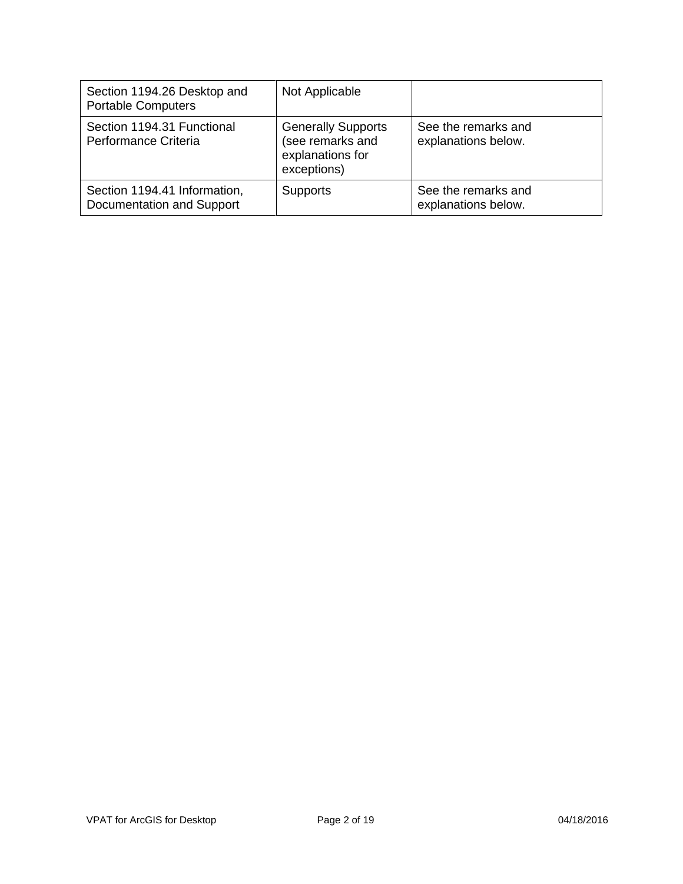| Section 1194.26 Desktop and<br><b>Portable Computers</b>  | Not Applicable                                                                   |                                            |
|-----------------------------------------------------------|----------------------------------------------------------------------------------|--------------------------------------------|
| Section 1194.31 Functional<br>Performance Criteria        | <b>Generally Supports</b><br>(see remarks and<br>explanations for<br>exceptions) | See the remarks and<br>explanations below. |
| Section 1194.41 Information,<br>Documentation and Support | <b>Supports</b>                                                                  | See the remarks and<br>explanations below. |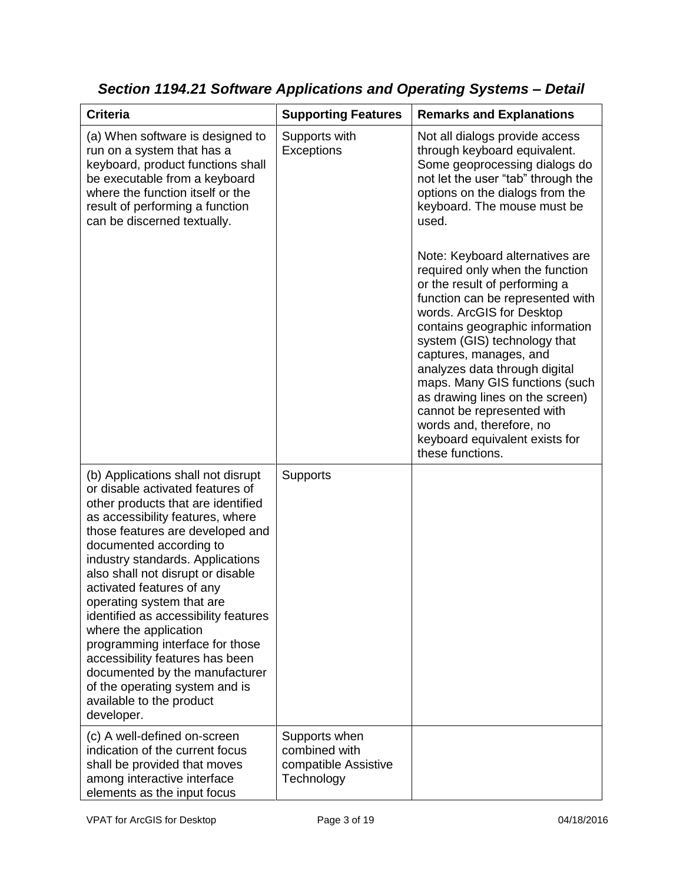| <b>Criteria</b>                                                                                                                                                                                                                                                                                                                                                                                                                                                                                                                                                                                         | <b>Supporting Features</b>                                           | <b>Remarks and Explanations</b>                                                                                                                                                                                                                                                                                                                                                                                                                      |
|---------------------------------------------------------------------------------------------------------------------------------------------------------------------------------------------------------------------------------------------------------------------------------------------------------------------------------------------------------------------------------------------------------------------------------------------------------------------------------------------------------------------------------------------------------------------------------------------------------|----------------------------------------------------------------------|------------------------------------------------------------------------------------------------------------------------------------------------------------------------------------------------------------------------------------------------------------------------------------------------------------------------------------------------------------------------------------------------------------------------------------------------------|
| (a) When software is designed to<br>run on a system that has a<br>keyboard, product functions shall<br>be executable from a keyboard<br>where the function itself or the<br>result of performing a function<br>can be discerned textually.                                                                                                                                                                                                                                                                                                                                                              | Supports with<br>Exceptions                                          | Not all dialogs provide access<br>through keyboard equivalent.<br>Some geoprocessing dialogs do<br>not let the user "tab" through the<br>options on the dialogs from the<br>keyboard. The mouse must be<br>used.<br>Note: Keyboard alternatives are                                                                                                                                                                                                  |
|                                                                                                                                                                                                                                                                                                                                                                                                                                                                                                                                                                                                         |                                                                      | required only when the function<br>or the result of performing a<br>function can be represented with<br>words. ArcGIS for Desktop<br>contains geographic information<br>system (GIS) technology that<br>captures, manages, and<br>analyzes data through digital<br>maps. Many GIS functions (such<br>as drawing lines on the screen)<br>cannot be represented with<br>words and, therefore, no<br>keyboard equivalent exists for<br>these functions. |
| (b) Applications shall not disrupt<br>or disable activated features of<br>other products that are identified<br>as accessibility features, where<br>those features are developed and<br>documented according to<br>industry standards. Applications<br>also shall not disrupt or disable<br>activated features of any<br>operating system that are<br>identified as accessibility features<br>where the application<br>programming interface for those<br>accessibility features has been<br>documented by the manufacturer<br>of the operating system and is<br>available to the product<br>developer. | <b>Supports</b>                                                      |                                                                                                                                                                                                                                                                                                                                                                                                                                                      |
| (c) A well-defined on-screen<br>indication of the current focus<br>shall be provided that moves<br>among interactive interface<br>elements as the input focus                                                                                                                                                                                                                                                                                                                                                                                                                                           | Supports when<br>combined with<br>compatible Assistive<br>Technology |                                                                                                                                                                                                                                                                                                                                                                                                                                                      |

*Section 1194.21 Software Applications and Operating Systems – Detail*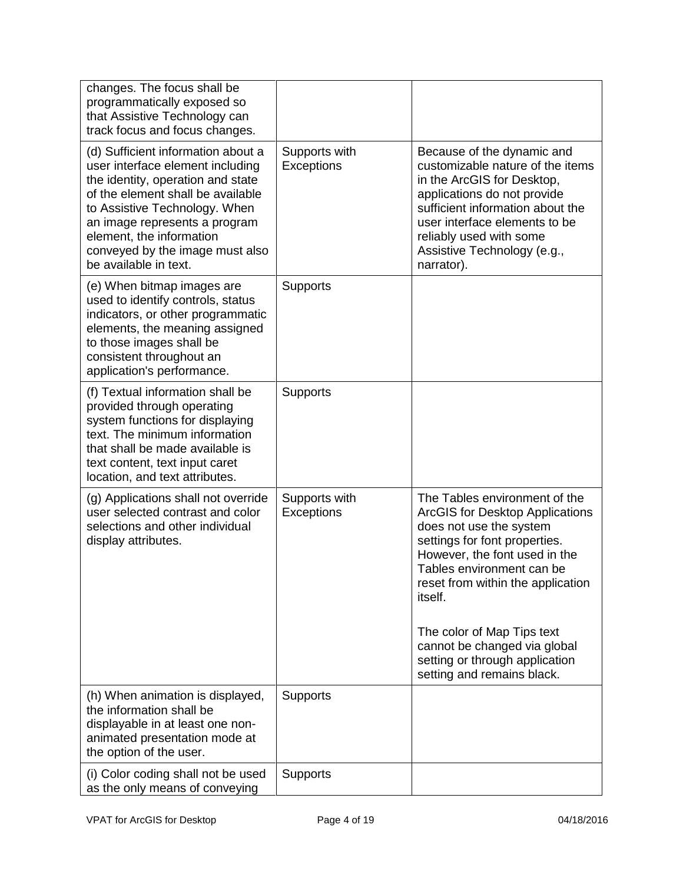| changes. The focus shall be<br>programmatically exposed so<br>that Assistive Technology can<br>track focus and focus changes.                                                                                                                                                                              |                                    |                                                                                                                                                                                                                                                                                                                                                                                        |
|------------------------------------------------------------------------------------------------------------------------------------------------------------------------------------------------------------------------------------------------------------------------------------------------------------|------------------------------------|----------------------------------------------------------------------------------------------------------------------------------------------------------------------------------------------------------------------------------------------------------------------------------------------------------------------------------------------------------------------------------------|
| (d) Sufficient information about a<br>user interface element including<br>the identity, operation and state<br>of the element shall be available<br>to Assistive Technology. When<br>an image represents a program<br>element, the information<br>conveyed by the image must also<br>be available in text. | Supports with<br>Exceptions        | Because of the dynamic and<br>customizable nature of the items<br>in the ArcGIS for Desktop,<br>applications do not provide<br>sufficient information about the<br>user interface elements to be<br>reliably used with some<br>Assistive Technology (e.g.,<br>narrator).                                                                                                               |
| (e) When bitmap images are<br>used to identify controls, status<br>indicators, or other programmatic<br>elements, the meaning assigned<br>to those images shall be<br>consistent throughout an<br>application's performance.                                                                               | <b>Supports</b>                    |                                                                                                                                                                                                                                                                                                                                                                                        |
| (f) Textual information shall be<br>provided through operating<br>system functions for displaying<br>text. The minimum information<br>that shall be made available is<br>text content, text input caret<br>location, and text attributes.                                                                  | <b>Supports</b>                    |                                                                                                                                                                                                                                                                                                                                                                                        |
| (g) Applications shall not override<br>user selected contrast and color<br>selections and other individual<br>display attributes.                                                                                                                                                                          | Supports with<br><b>Exceptions</b> | The Tables environment of the<br><b>ArcGIS for Desktop Applications</b><br>does not use the system<br>settings for font properties.<br>However, the font used in the<br>Tables environment can be<br>reset from within the application<br><i>itself.</i><br>The color of Map Tips text<br>cannot be changed via global<br>setting or through application<br>setting and remains black. |
| (h) When animation is displayed,<br>the information shall be<br>displayable in at least one non-<br>animated presentation mode at<br>the option of the user.                                                                                                                                               | <b>Supports</b>                    |                                                                                                                                                                                                                                                                                                                                                                                        |
| (i) Color coding shall not be used<br>as the only means of conveying                                                                                                                                                                                                                                       | <b>Supports</b>                    |                                                                                                                                                                                                                                                                                                                                                                                        |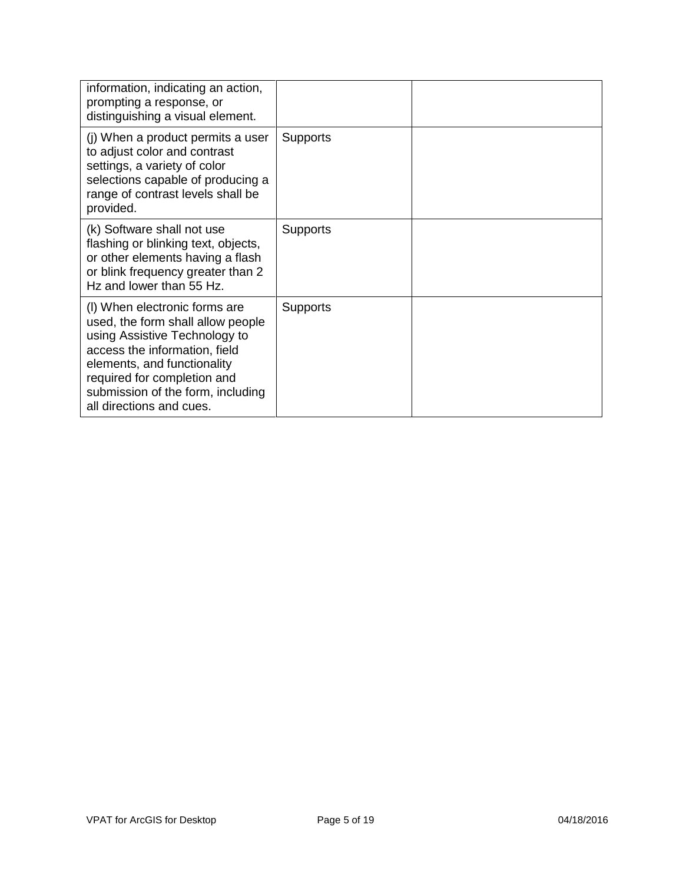| information, indicating an action,<br>prompting a response, or<br>distinguishing a visual element.                                                                                                                                                                  |                 |  |
|---------------------------------------------------------------------------------------------------------------------------------------------------------------------------------------------------------------------------------------------------------------------|-----------------|--|
| (j) When a product permits a user<br>to adjust color and contrast<br>settings, a variety of color<br>selections capable of producing a<br>range of contrast levels shall be<br>provided.                                                                            | <b>Supports</b> |  |
| (k) Software shall not use<br>flashing or blinking text, objects,<br>or other elements having a flash<br>or blink frequency greater than 2<br>Hz and lower than 55 Hz.                                                                                              | Supports        |  |
| (I) When electronic forms are<br>used, the form shall allow people<br>using Assistive Technology to<br>access the information, field<br>elements, and functionality<br>required for completion and<br>submission of the form, including<br>all directions and cues. | <b>Supports</b> |  |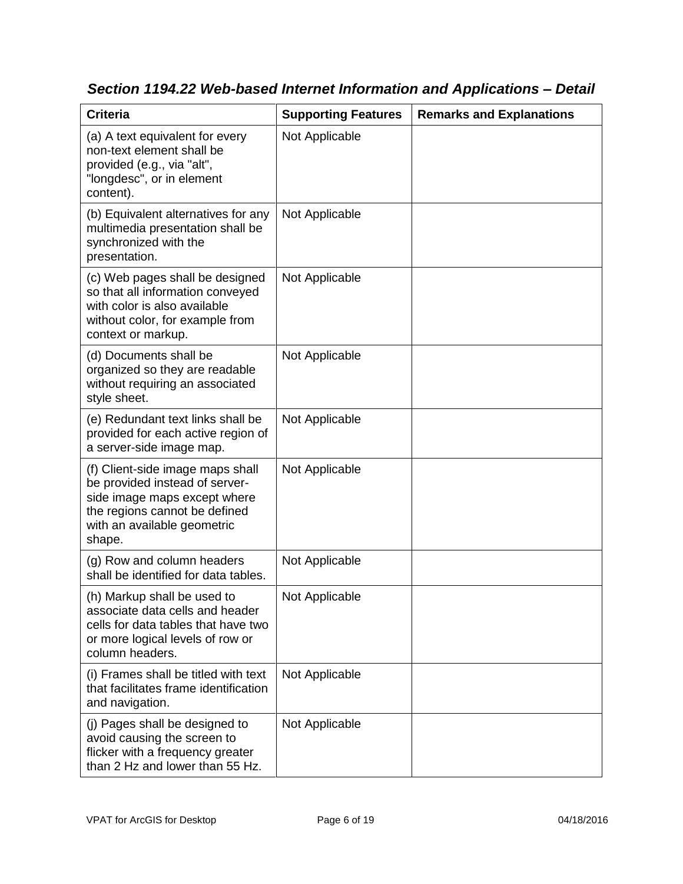| <b>Criteria</b>                                                                                                                                                              | <b>Supporting Features</b> | <b>Remarks and Explanations</b> |
|------------------------------------------------------------------------------------------------------------------------------------------------------------------------------|----------------------------|---------------------------------|
| (a) A text equivalent for every<br>non-text element shall be<br>provided (e.g., via "alt",<br>"longdesc", or in element<br>content).                                         | Not Applicable             |                                 |
| (b) Equivalent alternatives for any<br>multimedia presentation shall be<br>synchronized with the<br>presentation.                                                            | Not Applicable             |                                 |
| (c) Web pages shall be designed<br>so that all information conveyed<br>with color is also available<br>without color, for example from<br>context or markup.                 | Not Applicable             |                                 |
| (d) Documents shall be<br>organized so they are readable<br>without requiring an associated<br>style sheet.                                                                  | Not Applicable             |                                 |
| (e) Redundant text links shall be<br>provided for each active region of<br>a server-side image map.                                                                          | Not Applicable             |                                 |
| (f) Client-side image maps shall<br>be provided instead of server-<br>side image maps except where<br>the regions cannot be defined<br>with an available geometric<br>shape. | Not Applicable             |                                 |
| (g) Row and column headers<br>shall be identified for data tables.                                                                                                           | Not Applicable             |                                 |
| (h) Markup shall be used to<br>associate data cells and header<br>cells for data tables that have two<br>or more logical levels of row or<br>column headers.                 | Not Applicable             |                                 |
| (i) Frames shall be titled with text<br>that facilitates frame identification<br>and navigation.                                                                             | Not Applicable             |                                 |
| (j) Pages shall be designed to<br>avoid causing the screen to<br>flicker with a frequency greater<br>than 2 Hz and lower than 55 Hz.                                         | Not Applicable             |                                 |

*Section 1194.22 Web-based Internet Information and Applications – Detail*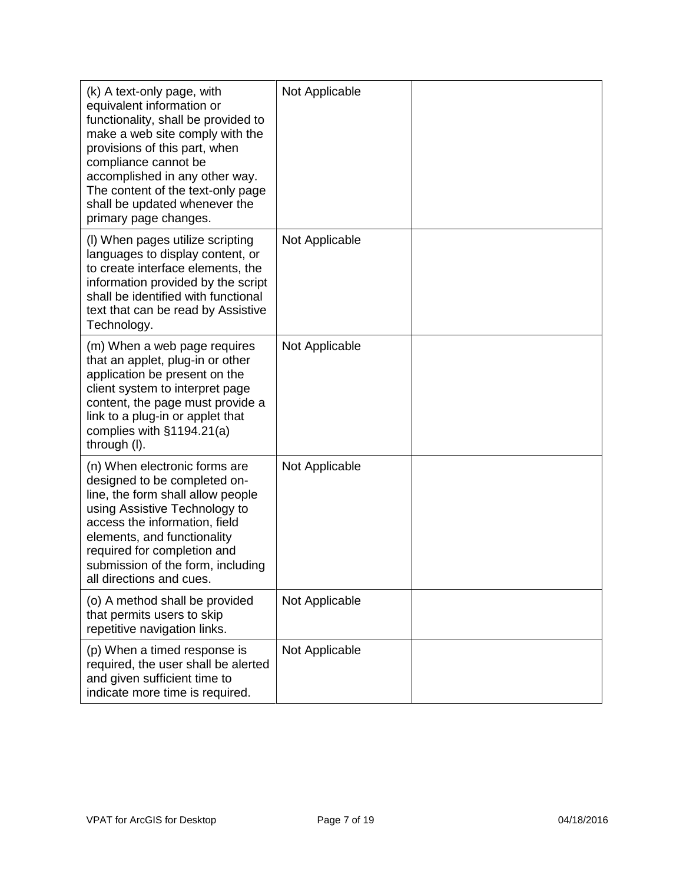| (k) A text-only page, with<br>equivalent information or<br>functionality, shall be provided to<br>make a web site comply with the<br>provisions of this part, when<br>compliance cannot be<br>accomplished in any other way.<br>The content of the text-only page<br>shall be updated whenever the<br>primary page changes. | Not Applicable |  |
|-----------------------------------------------------------------------------------------------------------------------------------------------------------------------------------------------------------------------------------------------------------------------------------------------------------------------------|----------------|--|
| (I) When pages utilize scripting<br>languages to display content, or<br>to create interface elements, the<br>information provided by the script<br>shall be identified with functional<br>text that can be read by Assistive<br>Technology.                                                                                 | Not Applicable |  |
| (m) When a web page requires<br>that an applet, plug-in or other<br>application be present on the<br>client system to interpret page<br>content, the page must provide a<br>link to a plug-in or applet that<br>complies with $§1194.21(a)$<br>through (I).                                                                 | Not Applicable |  |
| (n) When electronic forms are<br>designed to be completed on-<br>line, the form shall allow people<br>using Assistive Technology to<br>access the information, field<br>elements, and functionality<br>required for completion and<br>submission of the form, including<br>all directions and cues.                         | Not Applicable |  |
| (o) A method shall be provided<br>that permits users to skip<br>repetitive navigation links.                                                                                                                                                                                                                                | Not Applicable |  |
| (p) When a timed response is<br>required, the user shall be alerted<br>and given sufficient time to<br>indicate more time is required.                                                                                                                                                                                      | Not Applicable |  |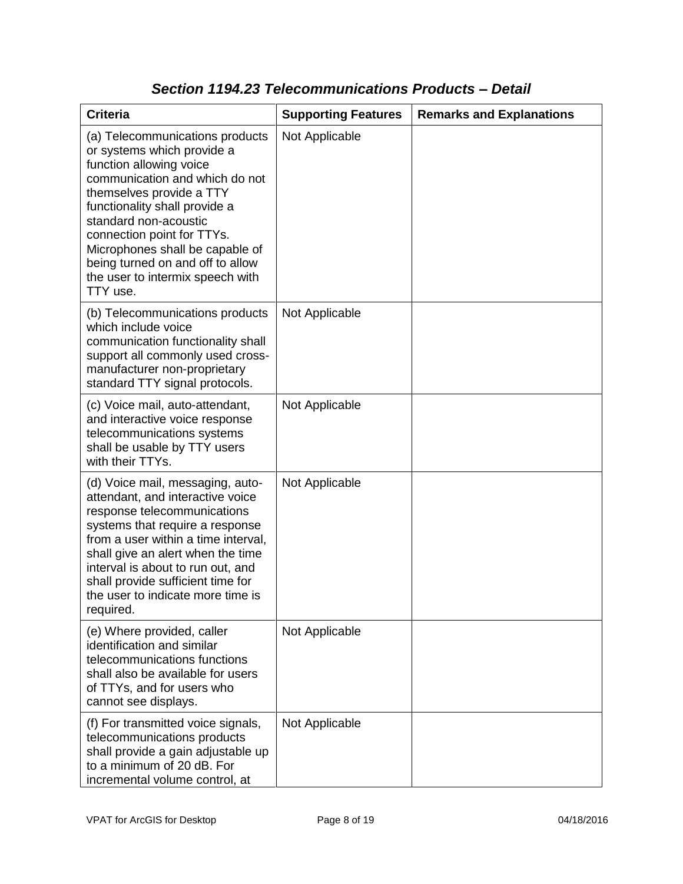| <b>Criteria</b>                                                                                                                                                                                                                                                                                                                                                       | <b>Supporting Features</b> | <b>Remarks and Explanations</b> |
|-----------------------------------------------------------------------------------------------------------------------------------------------------------------------------------------------------------------------------------------------------------------------------------------------------------------------------------------------------------------------|----------------------------|---------------------------------|
| (a) Telecommunications products<br>or systems which provide a<br>function allowing voice<br>communication and which do not<br>themselves provide a TTY<br>functionality shall provide a<br>standard non-acoustic<br>connection point for TTYs.<br>Microphones shall be capable of<br>being turned on and off to allow<br>the user to intermix speech with<br>TTY use. | Not Applicable             |                                 |
| (b) Telecommunications products<br>which include voice<br>communication functionality shall<br>support all commonly used cross-<br>manufacturer non-proprietary<br>standard TTY signal protocols.                                                                                                                                                                     | Not Applicable             |                                 |
| (c) Voice mail, auto-attendant,<br>and interactive voice response<br>telecommunications systems<br>shall be usable by TTY users<br>with their TTYs.                                                                                                                                                                                                                   | Not Applicable             |                                 |
| (d) Voice mail, messaging, auto-<br>attendant, and interactive voice<br>response telecommunications<br>systems that require a response<br>from a user within a time interval,<br>shall give an alert when the time<br>interval is about to run out, and<br>shall provide sufficient time for<br>the user to indicate more time is<br>required.                        | Not Applicable             |                                 |
| (e) Where provided, caller<br>identification and similar<br>telecommunications functions<br>shall also be available for users<br>of TTYs, and for users who<br>cannot see displays.                                                                                                                                                                                   | Not Applicable             |                                 |
| (f) For transmitted voice signals,<br>telecommunications products<br>shall provide a gain adjustable up<br>to a minimum of 20 dB. For<br>incremental volume control, at                                                                                                                                                                                               | Not Applicable             |                                 |

### *Section 1194.23 Telecommunications Products – Detail*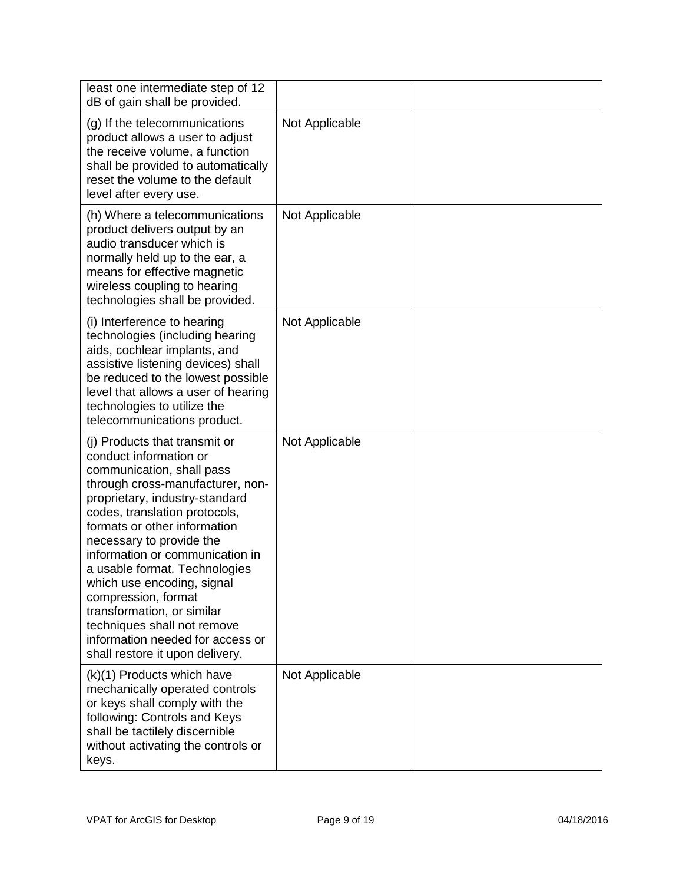| least one intermediate step of 12<br>dB of gain shall be provided.                                                                                                                                                                                                                                                                                                                                                                                                                                                   |                |  |
|----------------------------------------------------------------------------------------------------------------------------------------------------------------------------------------------------------------------------------------------------------------------------------------------------------------------------------------------------------------------------------------------------------------------------------------------------------------------------------------------------------------------|----------------|--|
| (g) If the telecommunications<br>product allows a user to adjust<br>the receive volume, a function<br>shall be provided to automatically<br>reset the volume to the default<br>level after every use.                                                                                                                                                                                                                                                                                                                | Not Applicable |  |
| (h) Where a telecommunications<br>product delivers output by an<br>audio transducer which is<br>normally held up to the ear, a<br>means for effective magnetic<br>wireless coupling to hearing<br>technologies shall be provided.                                                                                                                                                                                                                                                                                    | Not Applicable |  |
| (i) Interference to hearing<br>technologies (including hearing<br>aids, cochlear implants, and<br>assistive listening devices) shall<br>be reduced to the lowest possible<br>level that allows a user of hearing<br>technologies to utilize the<br>telecommunications product.                                                                                                                                                                                                                                       | Not Applicable |  |
| (i) Products that transmit or<br>conduct information or<br>communication, shall pass<br>through cross-manufacturer, non-<br>proprietary, industry-standard<br>codes, translation protocols,<br>formats or other information<br>necessary to provide the<br>information or communication in<br>a usable format. Technologies<br>which use encoding, signal<br>compression, format<br>transformation, or similar<br>techniques shall not remove<br>information needed for access or<br>shall restore it upon delivery. | Not Applicable |  |
| (k)(1) Products which have<br>mechanically operated controls<br>or keys shall comply with the<br>following: Controls and Keys<br>shall be tactilely discernible<br>without activating the controls or<br>keys.                                                                                                                                                                                                                                                                                                       | Not Applicable |  |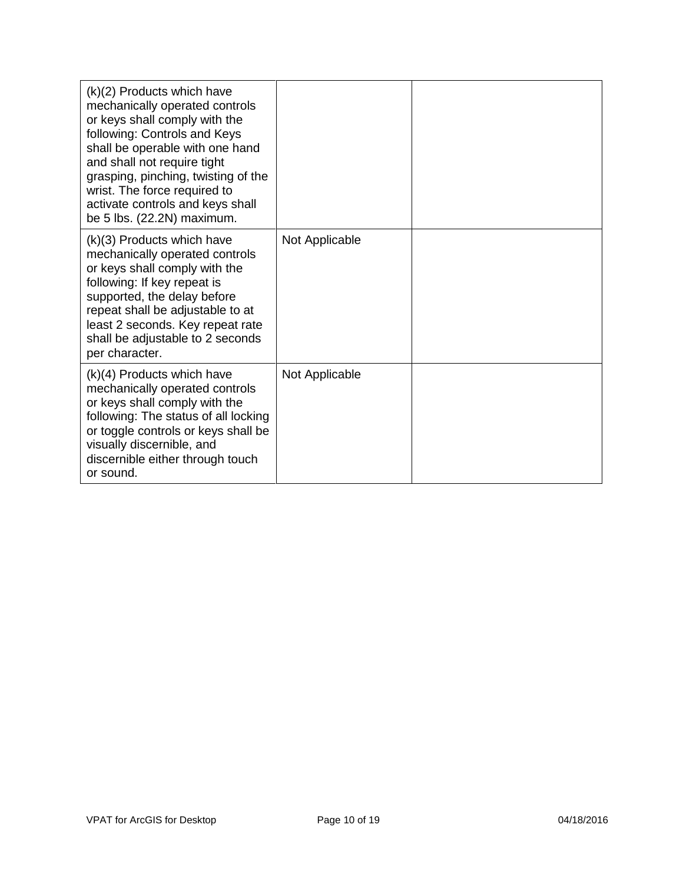| (k)(2) Products which have<br>mechanically operated controls<br>or keys shall comply with the<br>following: Controls and Keys<br>shall be operable with one hand<br>and shall not require tight<br>grasping, pinching, twisting of the<br>wrist. The force required to<br>activate controls and keys shall<br>be 5 lbs. (22.2N) maximum. |                |  |
|------------------------------------------------------------------------------------------------------------------------------------------------------------------------------------------------------------------------------------------------------------------------------------------------------------------------------------------|----------------|--|
| (k)(3) Products which have<br>mechanically operated controls<br>or keys shall comply with the<br>following: If key repeat is<br>supported, the delay before<br>repeat shall be adjustable to at<br>least 2 seconds. Key repeat rate<br>shall be adjustable to 2 seconds<br>per character.                                                | Not Applicable |  |
| $(k)(4)$ Products which have<br>mechanically operated controls<br>or keys shall comply with the<br>following: The status of all locking<br>or toggle controls or keys shall be<br>visually discernible, and<br>discernible either through touch<br>or sound.                                                                             | Not Applicable |  |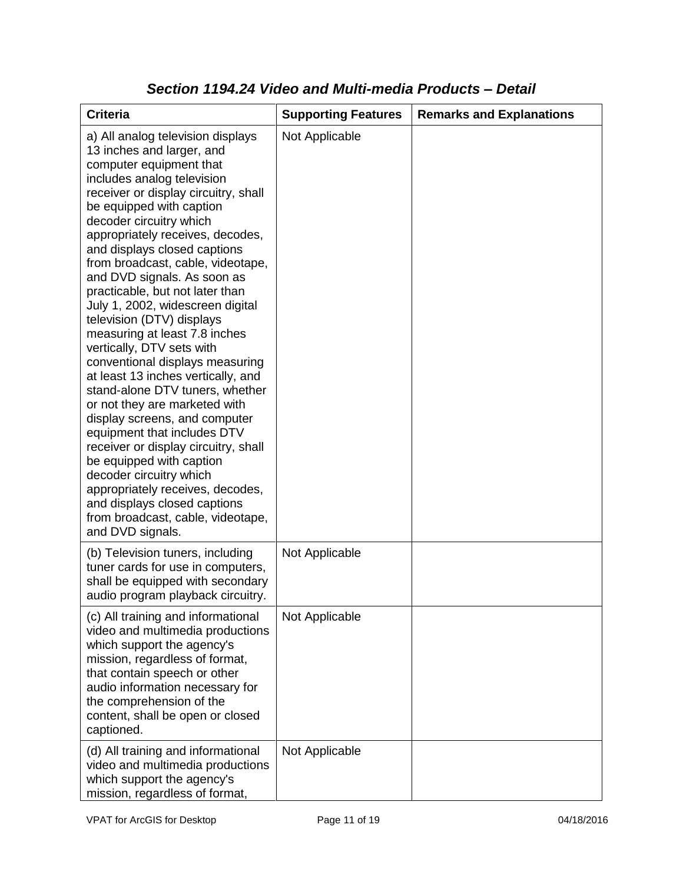| <b>Criteria</b>                                                                                                                                                                                                                                                                                                                                                                                                                                                                                                                                                                                                                                                                                                                                                                                                                                                                                                                                                           | <b>Supporting Features</b> | <b>Remarks and Explanations</b> |
|---------------------------------------------------------------------------------------------------------------------------------------------------------------------------------------------------------------------------------------------------------------------------------------------------------------------------------------------------------------------------------------------------------------------------------------------------------------------------------------------------------------------------------------------------------------------------------------------------------------------------------------------------------------------------------------------------------------------------------------------------------------------------------------------------------------------------------------------------------------------------------------------------------------------------------------------------------------------------|----------------------------|---------------------------------|
| a) All analog television displays<br>13 inches and larger, and<br>computer equipment that<br>includes analog television<br>receiver or display circuitry, shall<br>be equipped with caption<br>decoder circuitry which<br>appropriately receives, decodes,<br>and displays closed captions<br>from broadcast, cable, videotape,<br>and DVD signals. As soon as<br>practicable, but not later than<br>July 1, 2002, widescreen digital<br>television (DTV) displays<br>measuring at least 7.8 inches<br>vertically, DTV sets with<br>conventional displays measuring<br>at least 13 inches vertically, and<br>stand-alone DTV tuners, whether<br>or not they are marketed with<br>display screens, and computer<br>equipment that includes DTV<br>receiver or display circuitry, shall<br>be equipped with caption<br>decoder circuitry which<br>appropriately receives, decodes,<br>and displays closed captions<br>from broadcast, cable, videotape,<br>and DVD signals. | Not Applicable             |                                 |
| (b) Television tuners, including<br>tuner cards for use in computers,<br>shall be equipped with secondary<br>audio program playback circuitry.                                                                                                                                                                                                                                                                                                                                                                                                                                                                                                                                                                                                                                                                                                                                                                                                                            | Not Applicable             |                                 |
| (c) All training and informational<br>video and multimedia productions<br>which support the agency's<br>mission, regardless of format,<br>that contain speech or other<br>audio information necessary for<br>the comprehension of the<br>content, shall be open or closed<br>captioned.                                                                                                                                                                                                                                                                                                                                                                                                                                                                                                                                                                                                                                                                                   | Not Applicable             |                                 |
| (d) All training and informational<br>video and multimedia productions<br>which support the agency's<br>mission, regardless of format,                                                                                                                                                                                                                                                                                                                                                                                                                                                                                                                                                                                                                                                                                                                                                                                                                                    | Not Applicable             |                                 |

### *Section 1194.24 Video and Multi-media Products – Detail*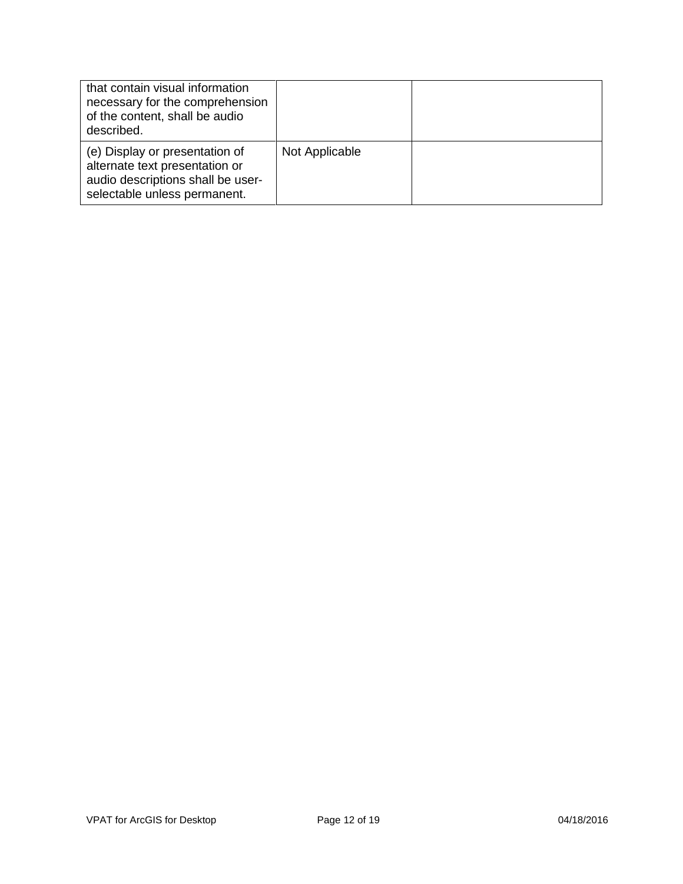| that contain visual information<br>necessary for the comprehension<br>of the content, shall be audio<br>described.                    |                |  |
|---------------------------------------------------------------------------------------------------------------------------------------|----------------|--|
| (e) Display or presentation of<br>alternate text presentation or<br>audio descriptions shall be user-<br>selectable unless permanent. | Not Applicable |  |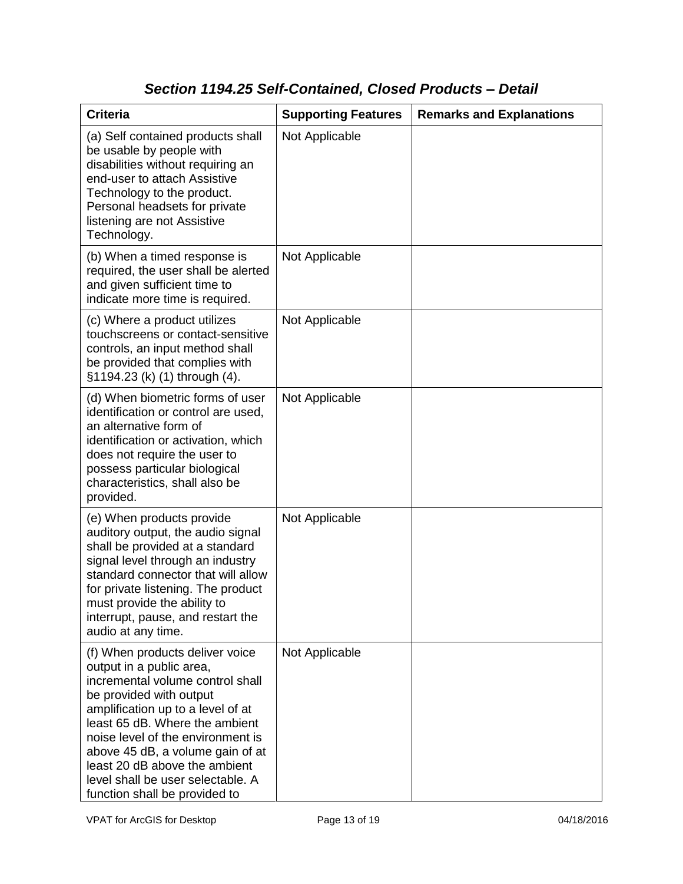### *Section 1194.25 Self-Contained, Closed Products – Detail*

| <b>Criteria</b>                                                                                                                                                                                                                                                                                                                                                                   | <b>Supporting Features</b> | <b>Remarks and Explanations</b> |
|-----------------------------------------------------------------------------------------------------------------------------------------------------------------------------------------------------------------------------------------------------------------------------------------------------------------------------------------------------------------------------------|----------------------------|---------------------------------|
| (a) Self contained products shall<br>be usable by people with<br>disabilities without requiring an<br>end-user to attach Assistive<br>Technology to the product.<br>Personal headsets for private<br>listening are not Assistive<br>Technology.                                                                                                                                   | Not Applicable             |                                 |
| (b) When a timed response is<br>required, the user shall be alerted<br>and given sufficient time to<br>indicate more time is required.                                                                                                                                                                                                                                            | Not Applicable             |                                 |
| (c) Where a product utilizes<br>touchscreens or contact-sensitive<br>controls, an input method shall<br>be provided that complies with<br>§1194.23 (k) (1) through (4).                                                                                                                                                                                                           | Not Applicable             |                                 |
| (d) When biometric forms of user<br>identification or control are used,<br>an alternative form of<br>identification or activation, which<br>does not require the user to<br>possess particular biological<br>characteristics, shall also be<br>provided.                                                                                                                          | Not Applicable             |                                 |
| (e) When products provide<br>auditory output, the audio signal<br>shall be provided at a standard<br>signal level through an industry<br>standard connector that will allow<br>for private listening. The product<br>must provide the ability to<br>interrupt, pause, and restart the<br>audio at any time.                                                                       | Not Applicable             |                                 |
| (f) When products deliver voice<br>output in a public area,<br>incremental volume control shall<br>be provided with output<br>amplification up to a level of at<br>least 65 dB. Where the ambient<br>noise level of the environment is<br>above 45 dB, a volume gain of at<br>least 20 dB above the ambient<br>level shall be user selectable. A<br>function shall be provided to | Not Applicable             |                                 |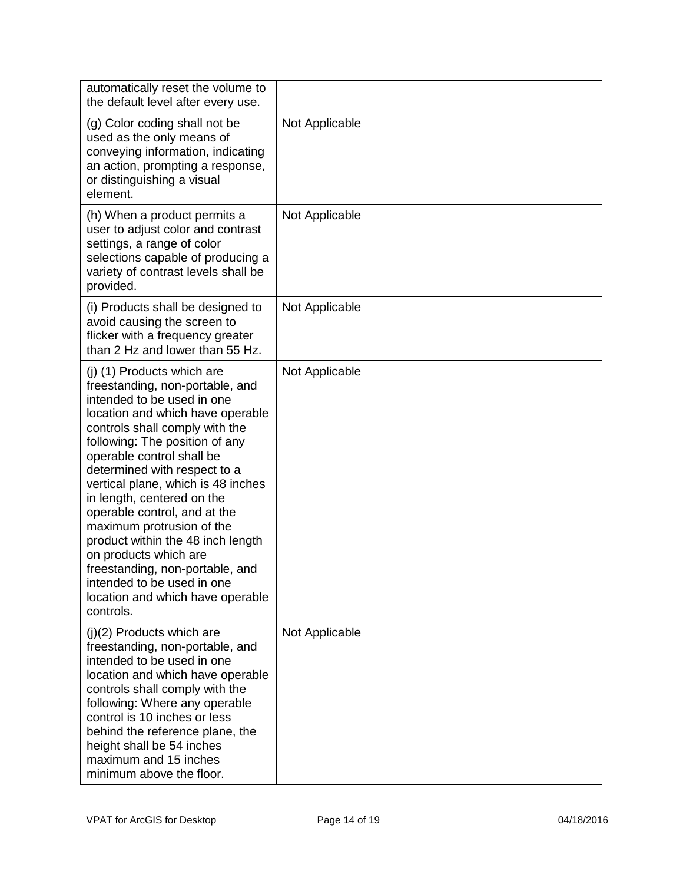| automatically reset the volume to<br>the default level after every use.                                                                                                                                                                                                                                                                                                                                                                                                                                                                                                           |                |  |
|-----------------------------------------------------------------------------------------------------------------------------------------------------------------------------------------------------------------------------------------------------------------------------------------------------------------------------------------------------------------------------------------------------------------------------------------------------------------------------------------------------------------------------------------------------------------------------------|----------------|--|
| (g) Color coding shall not be<br>used as the only means of<br>conveying information, indicating<br>an action, prompting a response,<br>or distinguishing a visual<br>element.                                                                                                                                                                                                                                                                                                                                                                                                     | Not Applicable |  |
| (h) When a product permits a<br>user to adjust color and contrast<br>settings, a range of color<br>selections capable of producing a<br>variety of contrast levels shall be<br>provided.                                                                                                                                                                                                                                                                                                                                                                                          | Not Applicable |  |
| (i) Products shall be designed to<br>avoid causing the screen to<br>flicker with a frequency greater<br>than 2 Hz and lower than 55 Hz.                                                                                                                                                                                                                                                                                                                                                                                                                                           | Not Applicable |  |
| (j) (1) Products which are<br>freestanding, non-portable, and<br>intended to be used in one<br>location and which have operable<br>controls shall comply with the<br>following: The position of any<br>operable control shall be<br>determined with respect to a<br>vertical plane, which is 48 inches<br>in length, centered on the<br>operable control, and at the<br>maximum protrusion of the<br>product within the 48 inch length<br>on products which are<br>freestanding, non-portable, and<br>intended to be used in one<br>location and which have operable<br>controls. | Not Applicable |  |
| $(j)(2)$ Products which are<br>freestanding, non-portable, and<br>intended to be used in one<br>location and which have operable<br>controls shall comply with the<br>following: Where any operable<br>control is 10 inches or less<br>behind the reference plane, the<br>height shall be 54 inches<br>maximum and 15 inches<br>minimum above the floor.                                                                                                                                                                                                                          | Not Applicable |  |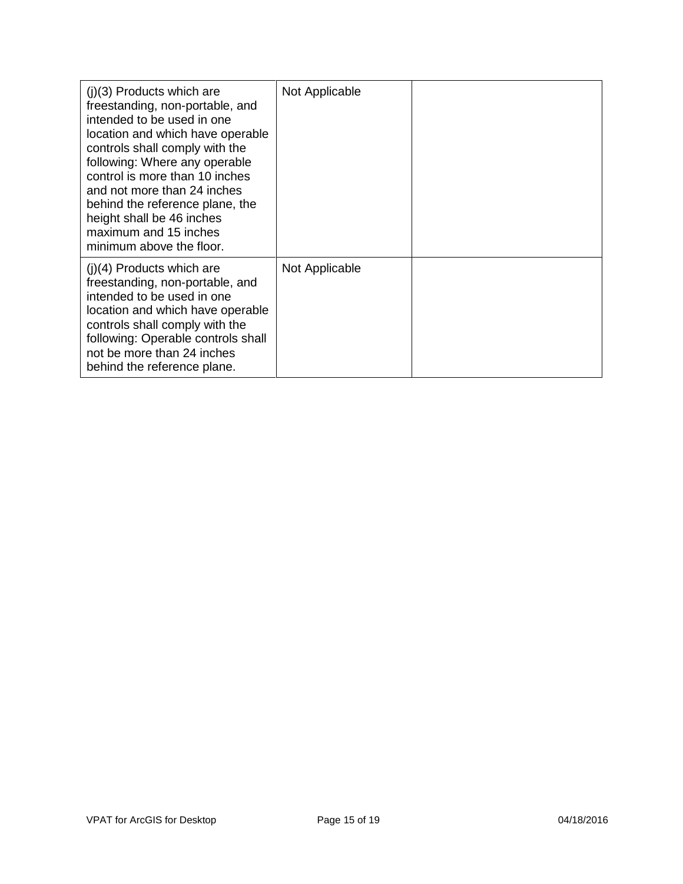| $(i)(3)$ Products which are<br>freestanding, non-portable, and<br>intended to be used in one<br>location and which have operable<br>controls shall comply with the<br>following: Where any operable<br>control is more than 10 inches<br>and not more than 24 inches<br>behind the reference plane, the<br>height shall be 46 inches<br>maximum and 15 inches<br>minimum above the floor. | Not Applicable |  |
|-------------------------------------------------------------------------------------------------------------------------------------------------------------------------------------------------------------------------------------------------------------------------------------------------------------------------------------------------------------------------------------------|----------------|--|
| $(i)(4)$ Products which are<br>freestanding, non-portable, and<br>intended to be used in one<br>location and which have operable<br>controls shall comply with the<br>following: Operable controls shall<br>not be more than 24 inches<br>behind the reference plane.                                                                                                                     | Not Applicable |  |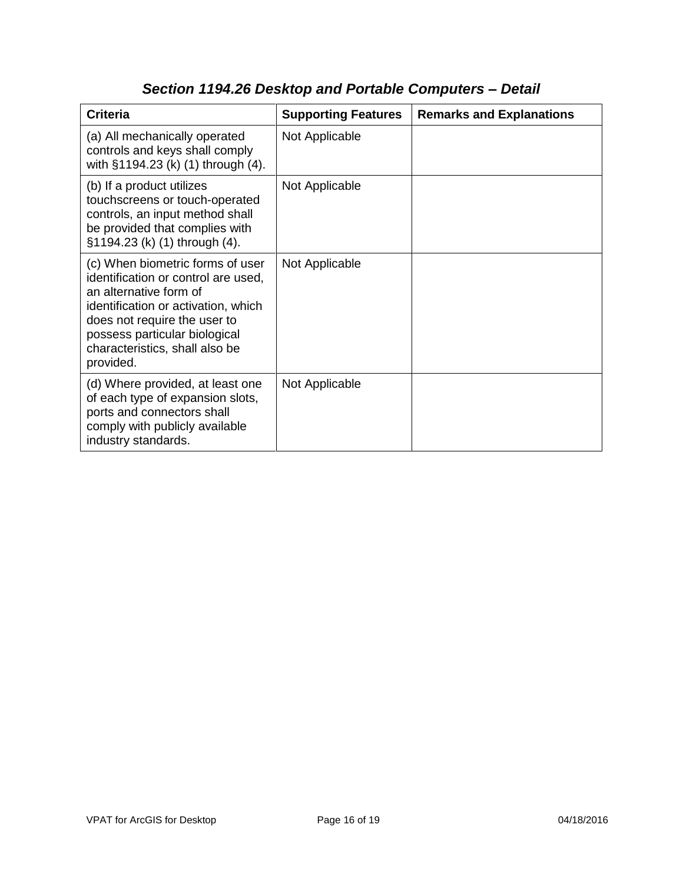| <b>Criteria</b>                                                                                                                                                                                                                                          | <b>Supporting Features</b> | <b>Remarks and Explanations</b> |
|----------------------------------------------------------------------------------------------------------------------------------------------------------------------------------------------------------------------------------------------------------|----------------------------|---------------------------------|
| (a) All mechanically operated<br>controls and keys shall comply<br>with §1194.23 (k) (1) through (4).                                                                                                                                                    | Not Applicable             |                                 |
| (b) If a product utilizes<br>touchscreens or touch-operated<br>controls, an input method shall<br>be provided that complies with<br>§1194.23 (k) (1) through (4).                                                                                        | Not Applicable             |                                 |
| (c) When biometric forms of user<br>identification or control are used,<br>an alternative form of<br>identification or activation, which<br>does not require the user to<br>possess particular biological<br>characteristics, shall also be<br>provided. | Not Applicable             |                                 |
| (d) Where provided, at least one<br>of each type of expansion slots,<br>ports and connectors shall<br>comply with publicly available<br>industry standards.                                                                                              | Not Applicable             |                                 |

# *Section 1194.26 Desktop and Portable Computers – Detail*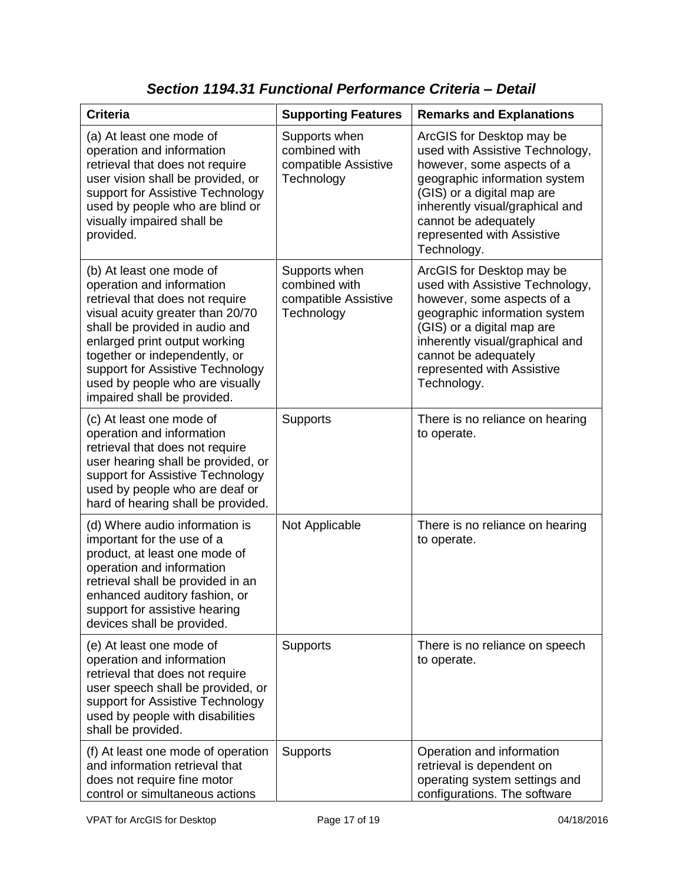| <b>Criteria</b>                                                                                                                                                                                                                                                                                                                        | <b>Supporting Features</b>                                           | <b>Remarks and Explanations</b>                                                                                                                                                                                                                                   |
|----------------------------------------------------------------------------------------------------------------------------------------------------------------------------------------------------------------------------------------------------------------------------------------------------------------------------------------|----------------------------------------------------------------------|-------------------------------------------------------------------------------------------------------------------------------------------------------------------------------------------------------------------------------------------------------------------|
| (a) At least one mode of<br>operation and information<br>retrieval that does not require<br>user vision shall be provided, or<br>support for Assistive Technology<br>used by people who are blind or<br>visually impaired shall be<br>provided.                                                                                        | Supports when<br>combined with<br>compatible Assistive<br>Technology | ArcGIS for Desktop may be<br>used with Assistive Technology,<br>however, some aspects of a<br>geographic information system<br>(GIS) or a digital map are<br>inherently visual/graphical and<br>cannot be adequately<br>represented with Assistive<br>Technology. |
| (b) At least one mode of<br>operation and information<br>retrieval that does not require<br>visual acuity greater than 20/70<br>shall be provided in audio and<br>enlarged print output working<br>together or independently, or<br>support for Assistive Technology<br>used by people who are visually<br>impaired shall be provided. | Supports when<br>combined with<br>compatible Assistive<br>Technology | ArcGIS for Desktop may be<br>used with Assistive Technology,<br>however, some aspects of a<br>geographic information system<br>(GIS) or a digital map are<br>inherently visual/graphical and<br>cannot be adequately<br>represented with Assistive<br>Technology. |
| (c) At least one mode of<br>operation and information<br>retrieval that does not require<br>user hearing shall be provided, or<br>support for Assistive Technology<br>used by people who are deaf or<br>hard of hearing shall be provided.                                                                                             | <b>Supports</b>                                                      | There is no reliance on hearing<br>to operate.                                                                                                                                                                                                                    |
| (d) Where audio information is<br>important for the use of a<br>product, at least one mode of<br>operation and information<br>retrieval shall be provided in an<br>enhanced auditory fashion, or<br>support for assistive hearing<br>devices shall be provided.                                                                        | Not Applicable                                                       | There is no reliance on hearing<br>to operate.                                                                                                                                                                                                                    |
| (e) At least one mode of<br>operation and information<br>retrieval that does not require<br>user speech shall be provided, or<br>support for Assistive Technology<br>used by people with disabilities<br>shall be provided.                                                                                                            | Supports                                                             | There is no reliance on speech<br>to operate.                                                                                                                                                                                                                     |
| (f) At least one mode of operation<br>and information retrieval that<br>does not require fine motor<br>control or simultaneous actions                                                                                                                                                                                                 | <b>Supports</b>                                                      | Operation and information<br>retrieval is dependent on<br>operating system settings and<br>configurations. The software                                                                                                                                           |

*Section 1194.31 Functional Performance Criteria – Detail*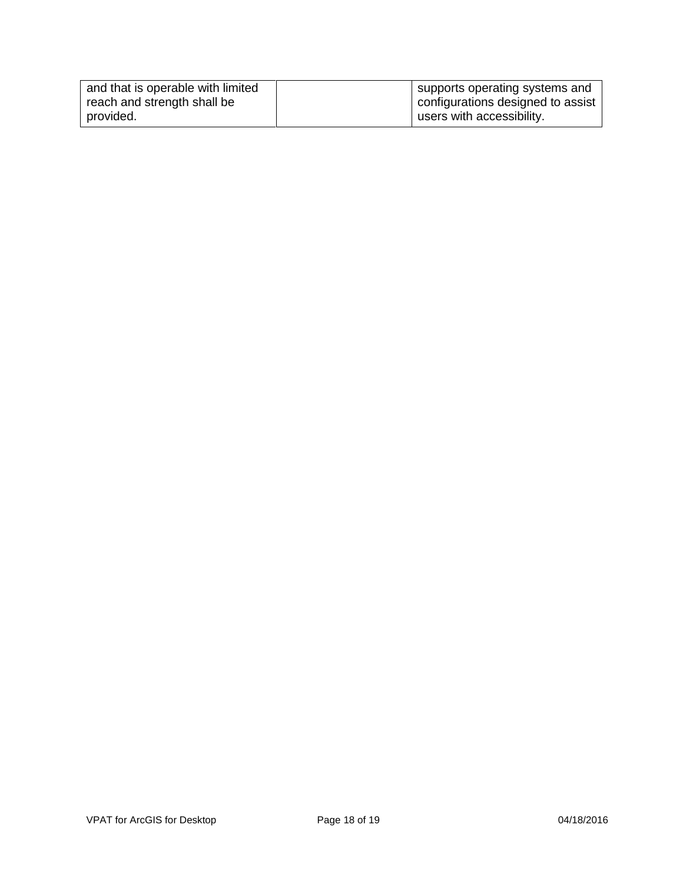| and that is operable with limited | supports operating systems and    |
|-----------------------------------|-----------------------------------|
| reach and strength shall be       | configurations designed to assist |
| provided.                         | users with accessibility.         |